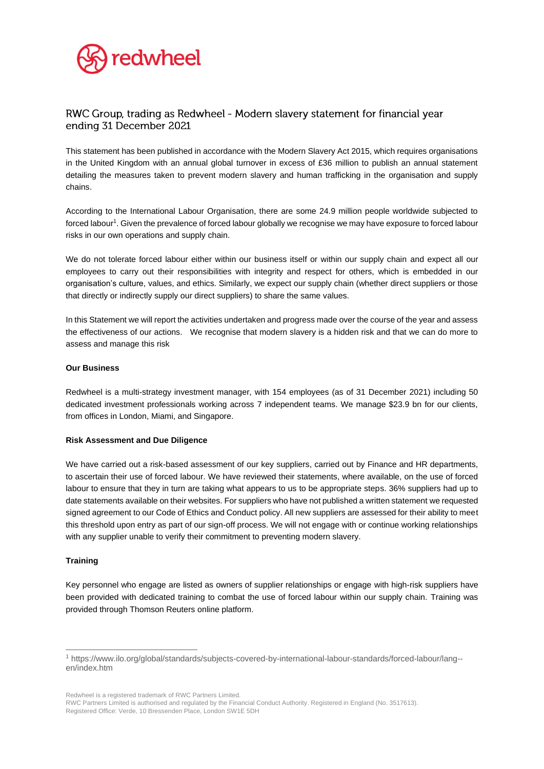

# RWC Group, trading as Redwheel - Modern slavery statement for financial year ending 31 December 2021

This statement has been published in accordance with the Modern Slavery Act 2015, which requires organisations in the United Kingdom with an annual global turnover in excess of £36 million to publish an annual statement detailing the measures taken to prevent modern slavery and human trafficking in the organisation and supply chains.

According to the International Labour Organisation, there are some 24.9 million people worldwide subjected to forced labour<sup>1</sup>. Given the prevalence of forced labour globally we recognise we may have exposure to forced labour risks in our own operations and supply chain.

We do not tolerate forced labour either within our business itself or within our supply chain and expect all our employees to carry out their responsibilities with integrity and respect for others, which is embedded in our organisation's culture, values, and ethics. Similarly, we expect our supply chain (whether direct suppliers or those that directly or indirectly supply our direct suppliers) to share the same values.

In this Statement we will report the activities undertaken and progress made over the course of the year and assess the effectiveness of our actions. We recognise that modern slavery is a hidden risk and that we can do more to assess and manage this risk

### **Our Business**

Redwheel is a multi-strategy investment manager, with 154 employees (as of 31 December 2021) including 50 dedicated investment professionals working across 7 independent teams. We manage \$23.9 bn for our clients, from offices in London, Miami, and Singapore.

### **Risk Assessment and Due Diligence**

We have carried out a risk-based assessment of our key suppliers, carried out by Finance and HR departments, to ascertain their use of forced labour. We have reviewed their statements, where available, on the use of forced labour to ensure that they in turn are taking what appears to us to be appropriate steps. 36% suppliers had up to date statements available on their websites. For suppliers who have not published a written statement we requested signed agreement to our Code of Ethics and Conduct policy. All new suppliers are assessed for their ability to meet this threshold upon entry as part of our sign-off process. We will not engage with or continue working relationships with any supplier unable to verify their commitment to preventing modern slavery.

### **Training**

Key personnel who engage are listed as owners of supplier relationships or engage with high-risk suppliers have been provided with dedicated training to combat the use of forced labour within our supply chain. Training was provided through Thomson Reuters online platform.

Redwheel is a registered trademark of RWC Partners Limited.

<sup>1</sup> https://www.ilo.org/global/standards/subjects-covered-by-international-labour-standards/forced-labour/lang- en/index.htm

RWC Partners Limited is authorised and regulated by the Financial Conduct Authority. Registered in England (No. 3517613). Registered Office: Verde, 10 Bressenden Place, London SW1E 5DH